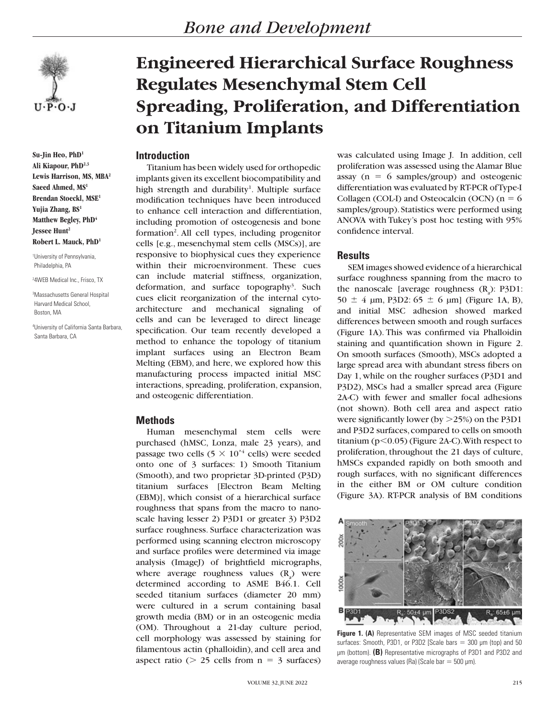

**Su-Jin Heo, PhD1 Ali Kiapour, PhD2,3 Lewis Harrison, MS, MBA2 Saeed Ahmed, MS1 Brendan Stoeckl, MSE1 Yujia Zhang, BS1** Matthew Begley, PhD<sup>4</sup> **Jessee Hunt2 Robert L. Mauck, PhD1**

1 University of Pennsylvania, Philadelphia, PA

2 4WEB Medical Inc., Frisco, TX

3 Massachusetts General Hospital Harvard Medical School, Boston, MA

4 University of California Santa Barbara, Santa Barbara, CA

# **Engineered Hierarchical Surface Roughness Regulates Mesenchymal Stem Cell Spreading, Proliferation, and Differentiation on Titanium Implants**

## **Introduction**

Titanium has been widely used for orthopedic implants given its excellent biocompatibility and high strength and durability<sup>1</sup>. Multiple surface modification techniques have been introduced to enhance cell interaction and differentiation, including promotion of osteogenesis and bone formation<sup>2</sup>. All cell types, including progenitor cells [e.g., mesenchymal stem cells (MSCs)], are responsive to biophysical cues they experience within their microenvironment. These cues can include material stiffness, organization, deformation, and surface topography<sup>3</sup>. Such cues elicit reorganization of the internal cytoarchitecture and mechanical signaling of cells and can be leveraged to direct lineage specification. Our team recently developed a method to enhance the topology of titanium implant surfaces using an Electron Beam Melting (EBM), and here, we explored how this manufacturing process impacted initial MSC interactions, spreading, proliferation, expansion, and osteogenic differentiation.

## **Methods**

Human mesenchymal stem cells were purchased (hMSC, Lonza, male 23 years), and passage two cells  $(5 \times 10^{4} \text{ cells})$  were seeded onto one of 3 surfaces: 1) Smooth Titanium (Smooth), and two proprietar 3D-printed (P3D) titanium surfaces [Electron Beam Melting (EBM)], which consist of a hierarchical surface roughness that spans from the macro to nanoscale having lesser 2) P3D1 or greater 3) P3D2 surface roughness. Surface characterization was performed using scanning electron microscopy and surface profiles were determined via image analysis (ImageJ) of brightfield micrographs, where average roughness values  $(R_a)$  were determined according to ASME B46.1. Cell seeded titanium surfaces (diameter 20 mm) were cultured in a serum containing basal growth media (BM) or in an osteogenic media (OM). Throughout a 21-day culture period, cell morphology was assessed by staining for filamentous actin (phalloidin), and cell area and aspect ratio ( $> 25$  cells from  $n = 3$  surfaces)

was calculated using Image J. In addition, cell proliferation was assessed using the Alamar Blue assay ( $n = 6$  samples/group) and osteogenic differentiation was evaluated by RT-PCR of Type-I Collagen (COL-I) and Osteocalcin (OCN) ( $n = 6$ samples/group). Statistics were performed using ANOVA with Tukey's post hoc testing with 95% confidence interval.

## **Results**

SEM images showed evidence of a hierarchical surface roughness spanning from the macro to the nanoscale [average roughness  $(R_a)$ : P3D1:  $50 \pm 4$  µm, P3D2: 65  $\pm$  6 µm] (Figure 1A, B), and initial MSC adhesion showed marked differences between smooth and rough surfaces (Figure 1A). This was confirmed via Phalloidin staining and quantification shown in Figure 2. On smooth surfaces (Smooth), MSCs adopted a large spread area with abundant stress fibers on Day 1, while on the rougher surfaces (P3D1 and P3D2), MSCs had a smaller spread area (Figure 2A-C) with fewer and smaller focal adhesions (not shown). Both cell area and aspect ratio were significantly lower (by  $>25\%$ ) on the P3D1 and P3D2 surfaces, compared to cells on smooth titanium ( $p<0.05$ ) (Figure 2A-C). With respect to proliferation, throughout the 21 days of culture, hMSCs expanded rapidly on both smooth and rough surfaces, with no significant differences in the either BM or OM culture condition (Figure 3A). RT-PCR analysis of BM conditions



**Figure 1. (A)** Representative SEM images of MSC seeded titanium surfaces: Smooth, P3D1, or P3D2 [Scale bars  $= 300$  µm (top) and 50 µm (bottom). **(B)** Representative micrographs of P3D1 and P3D2 and average roughness values (Ra) (Scale bar  $= 500$  µm).